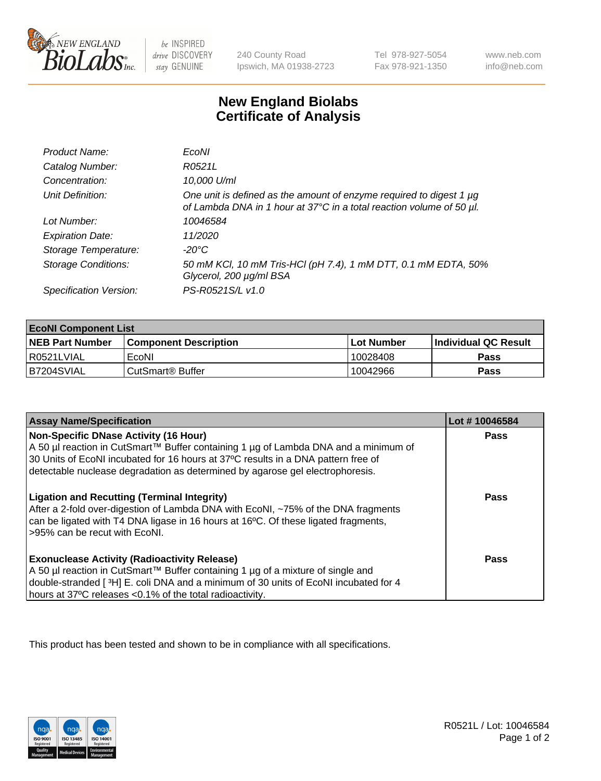

 $be$  INSPIRED drive DISCOVERY stay GENUINE

240 County Road Ipswich, MA 01938-2723 Tel 978-927-5054 Fax 978-921-1350 www.neb.com info@neb.com

## **New England Biolabs Certificate of Analysis**

| Product Name:              | EcoNI                                                                                                                                            |
|----------------------------|--------------------------------------------------------------------------------------------------------------------------------------------------|
| Catalog Number:            | R0521L                                                                                                                                           |
| Concentration:             | 10,000 U/ml                                                                                                                                      |
| Unit Definition:           | One unit is defined as the amount of enzyme required to digest 1 $\mu$ g<br>of Lambda DNA in 1 hour at 37°C in a total reaction volume of 50 µl. |
| Lot Number:                | 10046584                                                                                                                                         |
| <b>Expiration Date:</b>    | 11/2020                                                                                                                                          |
| Storage Temperature:       | -20°C                                                                                                                                            |
| <b>Storage Conditions:</b> | 50 mM KCl, 10 mM Tris-HCl (pH 7.4), 1 mM DTT, 0.1 mM EDTA, 50%<br>Glycerol, 200 µg/ml BSA                                                        |
| Specification Version:     | PS-R0521S/L v1.0                                                                                                                                 |

| <b>EcoNI Component List</b> |                         |             |                             |  |
|-----------------------------|-------------------------|-------------|-----------------------------|--|
| <b>NEB Part Number</b>      | l Component Description | ⊺Lot Number | <b>Individual QC Result</b> |  |
| I R0521LVIAL                | EcoNI                   | 10028408    | Pass                        |  |
| B7204SVIAL                  | l CutSmart® Buffer      | 10042966    | Pass                        |  |

| <b>Assay Name/Specification</b>                                                                                                                                                                                                                                                                    | Lot #10046584 |
|----------------------------------------------------------------------------------------------------------------------------------------------------------------------------------------------------------------------------------------------------------------------------------------------------|---------------|
| Non-Specific DNase Activity (16 Hour)<br>A 50 µl reaction in CutSmart™ Buffer containing 1 µg of Lambda DNA and a minimum of<br>30 Units of EcoNI incubated for 16 hours at 37°C results in a DNA pattern free of<br>detectable nuclease degradation as determined by agarose gel electrophoresis. | <b>Pass</b>   |
| <b>Ligation and Recutting (Terminal Integrity)</b><br>After a 2-fold over-digestion of Lambda DNA with EcoNI, ~75% of the DNA fragments<br>can be ligated with T4 DNA ligase in 16 hours at 16 <sup>o</sup> C. Of these ligated fragments,<br>-95% can be recut with EcoNI.                        | Pass          |
| <b>Exonuclease Activity (Radioactivity Release)</b><br>A 50 µl reaction in CutSmart™ Buffer containing 1 µg of a mixture of single and<br>double-stranded [3H] E. coli DNA and a minimum of 30 units of EcoNI incubated for 4<br>hours at 37°C releases <0.1% of the total radioactivity.          | <b>Pass</b>   |

This product has been tested and shown to be in compliance with all specifications.